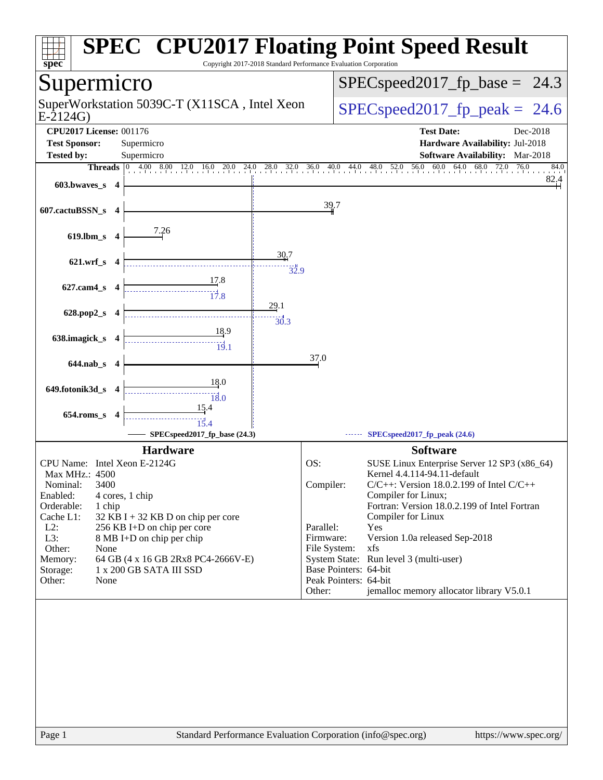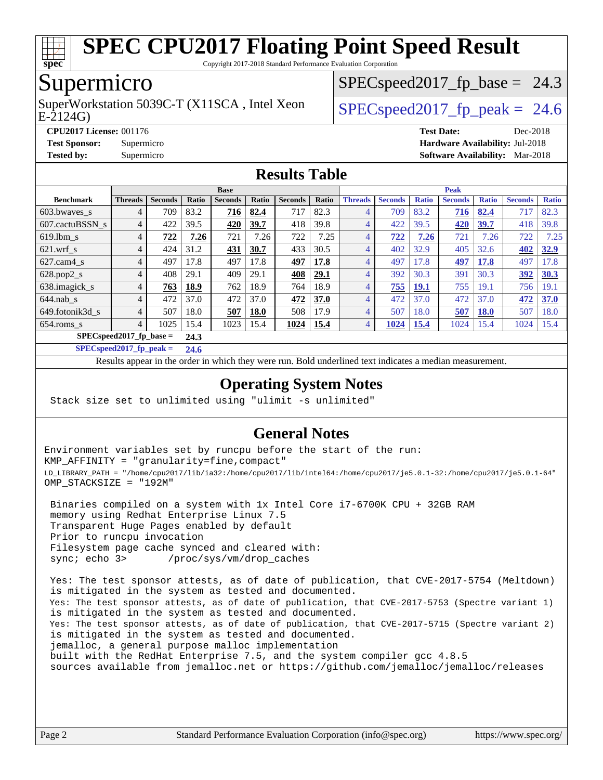

Copyright 2017-2018 Standard Performance Evaluation Corporation

## Supermicro

E-2124G) SuperWorkstation 5039C-T (X11SCA, Intel Xeon  $\big|$  SPECspeed2017 fp\_peak = 24.6

 $SPECspeed2017_fp\_base = 24.3$ 

**[CPU2017 License:](http://www.spec.org/auto/cpu2017/Docs/result-fields.html#CPU2017License)** 001176 **[Test Date:](http://www.spec.org/auto/cpu2017/Docs/result-fields.html#TestDate)** Dec-2018

**[Test Sponsor:](http://www.spec.org/auto/cpu2017/Docs/result-fields.html#TestSponsor)** Supermicro **[Hardware Availability:](http://www.spec.org/auto/cpu2017/Docs/result-fields.html#HardwareAvailability)** Jul-2018

# **[Tested by:](http://www.spec.org/auto/cpu2017/Docs/result-fields.html#Testedby)** Supermicro **[Software Availability:](http://www.spec.org/auto/cpu2017/Docs/result-fields.html#SoftwareAvailability)** Mar-2018

#### **[Results Table](http://www.spec.org/auto/cpu2017/Docs/result-fields.html#ResultsTable)**

|                            | <b>Base</b>    |                |       |                |             |                |       | <b>Peak</b>    |                |              |                |              |                |              |
|----------------------------|----------------|----------------|-------|----------------|-------------|----------------|-------|----------------|----------------|--------------|----------------|--------------|----------------|--------------|
| <b>Benchmark</b>           | <b>Threads</b> | <b>Seconds</b> | Ratio | <b>Seconds</b> | Ratio       | <b>Seconds</b> | Ratio | <b>Threads</b> | <b>Seconds</b> | <b>Ratio</b> | <b>Seconds</b> | <b>Ratio</b> | <b>Seconds</b> | <b>Ratio</b> |
| 603.bwaves_s               | 4              | 709            | 83.2  | <u>716</u>     | 82.4        | 717            | 82.3  | 4              | 709            | 83.2         | 716            | 82.4         | 717            | 82.3         |
| 607.cactuBSSN s            | 4              | 422            | 39.5  | 420            | 39.7        | 418            | 39.8  | 4              | 422            | 39.5         | 420            | 39.7         | 418            | 39.8         |
| $619.1$ bm s               | 4              | 722            | 7.26  | 721            | 7.26        | 722            | 7.25  | 4              | 722            | 7.26         | 721            | 7.26         | 722            | 7.25         |
| $621$ wrf s                | 4              | 424            | 31.2  | 431            | 30.7        | 433            | 30.5  | $\overline{4}$ | 402            | 32.9         | 405            | 32.6         | 402            | <u>32.9</u>  |
| $627$ .cam4 s              | 4              | 497            | 17.8  | 497            | 17.8        | 497            | 17.8  | $\overline{4}$ | 497            | 17.8         | 497            | 17.8         | 497            | 17.8         |
| $628.pop2_s$               | 4              | 408            | 29.1  | 409            | 29.1        | 408            | 29.1  | $\overline{4}$ | 392            | 30.3         | 391            | 30.3         | 392            | 30.3         |
| 638.imagick_s              | 4              | 763            | 18.9  | 762            | 18.9        | 764            | 18.9  | $\overline{4}$ | 755            | <b>19.1</b>  | 755            | 19.1         | 756            | 19.1         |
| $644$ .nab s               | 4              | 472            | 37.0  | 472            | 37.0        | 472            | 37.0  | 4              | 472            | 37.0         | 472            | 37.0         | 472            | <b>37.0</b>  |
| 649.fotonik3d s            | 4              | 507            | 18.0  | 507            | <b>18.0</b> | 508            | 17.9  | $\overline{4}$ | 507            | 18.0         | 507            | <b>18.0</b>  | 507            | 18.0         |
| $654$ .roms s              | 4              | 1025           | 15.4  | 1023           | 15.4        | 1024           | 15.4  | 4              | 1024           | <b>15.4</b>  | 1024           | 15.4         | 1024           | 15.4         |
| $SPEC speed2017$ fp base = |                |                | 24.3  |                |             |                |       |                |                |              |                |              |                |              |

**[SPECspeed2017\\_fp\\_peak =](http://www.spec.org/auto/cpu2017/Docs/result-fields.html#SPECspeed2017fppeak) 24.6**

Results appear in the [order in which they were run.](http://www.spec.org/auto/cpu2017/Docs/result-fields.html#RunOrder) Bold underlined text [indicates a median measurement](http://www.spec.org/auto/cpu2017/Docs/result-fields.html#Median).

#### **[Operating System Notes](http://www.spec.org/auto/cpu2017/Docs/result-fields.html#OperatingSystemNotes)**

Stack size set to unlimited using "ulimit -s unlimited"

#### **[General Notes](http://www.spec.org/auto/cpu2017/Docs/result-fields.html#GeneralNotes)**

Environment variables set by runcpu before the start of the run: KMP\_AFFINITY = "granularity=fine,compact" LD\_LIBRARY\_PATH = "/home/cpu2017/lib/ia32:/home/cpu2017/lib/intel64:/home/cpu2017/je5.0.1-32:/home/cpu2017/je5.0.1-64" OMP\_STACKSIZE = "192M"

 Binaries compiled on a system with 1x Intel Core i7-6700K CPU + 32GB RAM memory using Redhat Enterprise Linux 7.5 Transparent Huge Pages enabled by default Prior to runcpu invocation Filesystem page cache synced and cleared with: sync; echo 3> /proc/sys/vm/drop\_caches

 Yes: The test sponsor attests, as of date of publication, that CVE-2017-5754 (Meltdown) is mitigated in the system as tested and documented. Yes: The test sponsor attests, as of date of publication, that CVE-2017-5753 (Spectre variant 1) is mitigated in the system as tested and documented. Yes: The test sponsor attests, as of date of publication, that CVE-2017-5715 (Spectre variant 2) is mitigated in the system as tested and documented. jemalloc, a general purpose malloc implementation built with the RedHat Enterprise 7.5, and the system compiler gcc 4.8.5 sources available from jemalloc.net or <https://github.com/jemalloc/jemalloc/releases>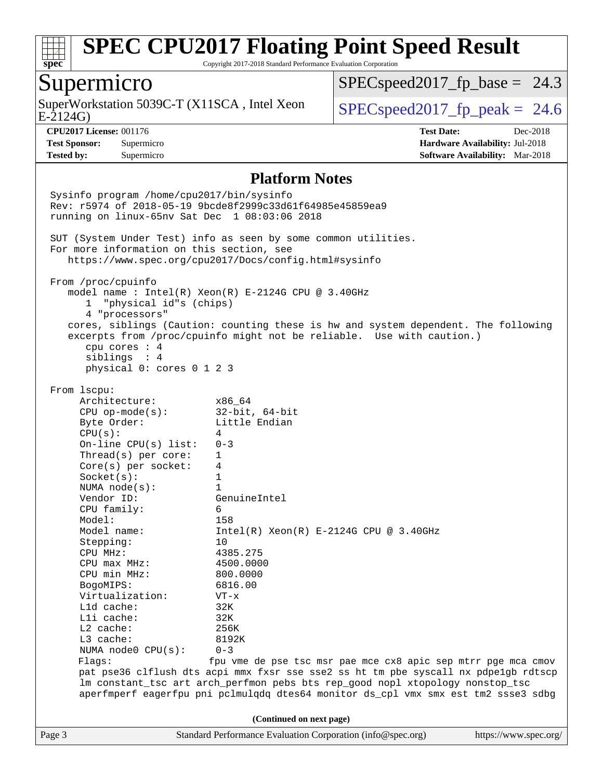

Copyright 2017-2018 Standard Performance Evaluation Corporation

### Supermicro

E-2124G) SuperWorkstation 5039C-T (X11SCA, Intel Xeon  $\big|$  [SPECspeed2017\\_fp\\_peak =](http://www.spec.org/auto/cpu2017/Docs/result-fields.html#SPECspeed2017fppeak) 24.6

 $SPECspeed2017_fp\_base = 24.3$ 

**[Tested by:](http://www.spec.org/auto/cpu2017/Docs/result-fields.html#Testedby)** Supermicro **[Software Availability:](http://www.spec.org/auto/cpu2017/Docs/result-fields.html#SoftwareAvailability)** Mar-2018

**[CPU2017 License:](http://www.spec.org/auto/cpu2017/Docs/result-fields.html#CPU2017License)** 001176 **[Test Date:](http://www.spec.org/auto/cpu2017/Docs/result-fields.html#TestDate)** Dec-2018 **[Test Sponsor:](http://www.spec.org/auto/cpu2017/Docs/result-fields.html#TestSponsor)** Supermicro **[Hardware Availability:](http://www.spec.org/auto/cpu2017/Docs/result-fields.html#HardwareAvailability)** Jul-2018

#### **[Platform Notes](http://www.spec.org/auto/cpu2017/Docs/result-fields.html#PlatformNotes)**

Page 3 Standard Performance Evaluation Corporation [\(info@spec.org\)](mailto:info@spec.org) <https://www.spec.org/> Sysinfo program /home/cpu2017/bin/sysinfo Rev: r5974 of 2018-05-19 9bcde8f2999c33d61f64985e45859ea9 running on linux-65nv Sat Dec 1 08:03:06 2018 SUT (System Under Test) info as seen by some common utilities. For more information on this section, see <https://www.spec.org/cpu2017/Docs/config.html#sysinfo> From /proc/cpuinfo model name : Intel(R) Xeon(R) E-2124G CPU @ 3.40GHz 1 "physical id"s (chips) 4 "processors" cores, siblings (Caution: counting these is hw and system dependent. The following excerpts from /proc/cpuinfo might not be reliable. Use with caution.) cpu cores : 4 siblings : 4 physical 0: cores 0 1 2 3 From lscpu: Architecture: x86\_64 CPU op-mode(s): 32-bit, 64-bit Byte Order: Little Endian  $CPU(s):$  4 On-line CPU(s) list: 0-3 Thread(s) per core: 1 Core(s) per socket: 4 Socket(s): 1 NUMA node(s): 1 Vendor ID: GenuineIntel CPU family: 6 Model: 158<br>Model name: 1158  $Intel(R)$  Xeon(R) E-2124G CPU @ 3.40GHz Stepping: 10 CPU MHz: 4385.275 CPU max MHz: 4500.0000 CPU min MHz: 800.0000 BogoMIPS: 6816.00 Virtualization: VT-x L1d cache: 32K L1i cache: 32K L2 cache: 256K L3 cache: 8192K NUMA node0 CPU(s): 0-3 Flags: fpu vme de pse tsc msr pae mce cx8 apic sep mtrr pge mca cmov pat pse36 clflush dts acpi mmx fxsr sse sse2 ss ht tm pbe syscall nx pdpe1gb rdtscp lm constant\_tsc art arch\_perfmon pebs bts rep\_good nopl xtopology nonstop\_tsc aperfmperf eagerfpu pni pclmulqdq dtes64 monitor ds\_cpl vmx smx est tm2 ssse3 sdbg **(Continued on next page)**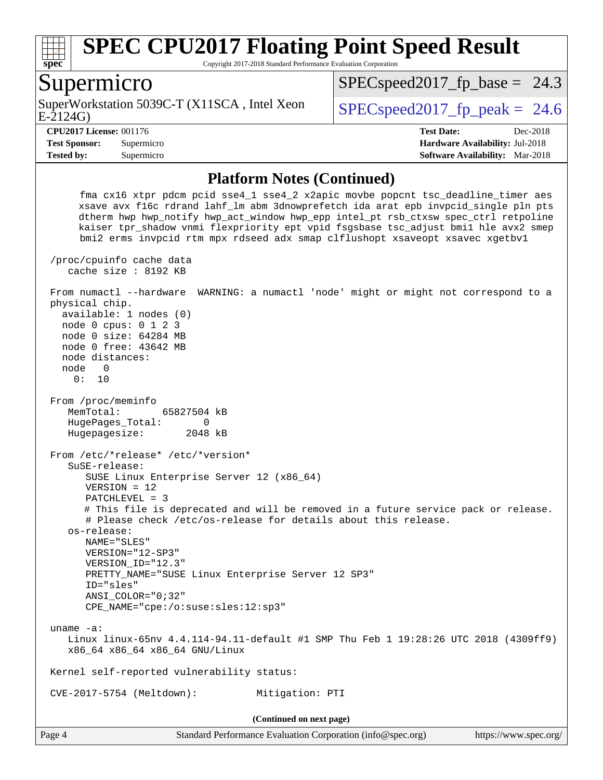

Copyright 2017-2018 Standard Performance Evaluation Corporation

#### Supermicro

E-2124G) SuperWorkstation 5039C-T (X11SCA, Intel Xeon  $\vert$  SPECspeed2017 fp\_peak = 24.6

 $SPECspeed2017_fp\_base = 24.3$ 

**[Tested by:](http://www.spec.org/auto/cpu2017/Docs/result-fields.html#Testedby)** Supermicro **[Software Availability:](http://www.spec.org/auto/cpu2017/Docs/result-fields.html#SoftwareAvailability)** Mar-2018

**[CPU2017 License:](http://www.spec.org/auto/cpu2017/Docs/result-fields.html#CPU2017License)** 001176 **[Test Date:](http://www.spec.org/auto/cpu2017/Docs/result-fields.html#TestDate)** Dec-2018 **[Test Sponsor:](http://www.spec.org/auto/cpu2017/Docs/result-fields.html#TestSponsor)** Supermicro **[Hardware Availability:](http://www.spec.org/auto/cpu2017/Docs/result-fields.html#HardwareAvailability)** Jul-2018

#### **[Platform Notes \(Continued\)](http://www.spec.org/auto/cpu2017/Docs/result-fields.html#PlatformNotes)**

 fma cx16 xtpr pdcm pcid sse4\_1 sse4\_2 x2apic movbe popcnt tsc\_deadline\_timer aes xsave avx f16c rdrand lahf\_lm abm 3dnowprefetch ida arat epb invpcid\_single pln pts dtherm hwp hwp\_notify hwp\_act\_window hwp\_epp intel\_pt rsb\_ctxsw spec\_ctrl retpoline kaiser tpr\_shadow vnmi flexpriority ept vpid fsgsbase tsc\_adjust bmi1 hle avx2 smep bmi2 erms invpcid rtm mpx rdseed adx smap clflushopt xsaveopt xsavec xgetbv1 /proc/cpuinfo cache data cache size : 8192 KB From numactl --hardware WARNING: a numactl 'node' might or might not correspond to a physical chip. available: 1 nodes (0) node 0 cpus: 0 1 2 3 node 0 size: 64284 MB node 0 free: 43642 MB node distances: node 0 0: 10 From /proc/meminfo MemTotal: 65827504 kB HugePages\_Total: 0 Hugepagesize: 2048 kB From /etc/\*release\* /etc/\*version\* SuSE-release: SUSE Linux Enterprise Server 12 (x86\_64) VERSION = 12 PATCHLEVEL = 3 # This file is deprecated and will be removed in a future service pack or release. # Please check /etc/os-release for details about this release. os-release: NAME="SLES" VERSION="12-SP3" VERSION\_ID="12.3" PRETTY\_NAME="SUSE Linux Enterprise Server 12 SP3" ID="sles" ANSI\_COLOR="0;32" CPE\_NAME="cpe:/o:suse:sles:12:sp3" uname -a: Linux linux-65nv 4.4.114-94.11-default #1 SMP Thu Feb 1 19:28:26 UTC 2018 (4309ff9) x86\_64 x86\_64 x86\_64 GNU/Linux Kernel self-reported vulnerability status: CVE-2017-5754 (Meltdown): Mitigation: PTI **(Continued on next page)**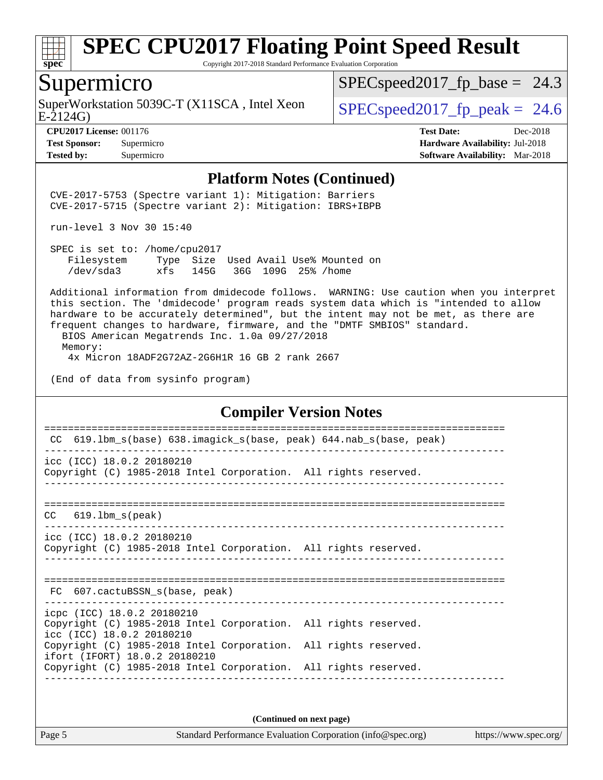

Copyright 2017-2018 Standard Performance Evaluation Corporation

#### Supermicro

E-2124G) SuperWorkstation 5039C-T (X11SCA, Intel Xeon  $\big|$  SPECspeed2017 fp\_peak = 24.6

 $SPECspeed2017_fp\_base = 24.3$ 

**[Tested by:](http://www.spec.org/auto/cpu2017/Docs/result-fields.html#Testedby)** Supermicro **[Software Availability:](http://www.spec.org/auto/cpu2017/Docs/result-fields.html#SoftwareAvailability)** Mar-2018

**[CPU2017 License:](http://www.spec.org/auto/cpu2017/Docs/result-fields.html#CPU2017License)** 001176 **[Test Date:](http://www.spec.org/auto/cpu2017/Docs/result-fields.html#TestDate)** Dec-2018 **[Test Sponsor:](http://www.spec.org/auto/cpu2017/Docs/result-fields.html#TestSponsor)** Supermicro **[Hardware Availability:](http://www.spec.org/auto/cpu2017/Docs/result-fields.html#HardwareAvailability)** Jul-2018

#### **[Platform Notes \(Continued\)](http://www.spec.org/auto/cpu2017/Docs/result-fields.html#PlatformNotes)**

 CVE-2017-5753 (Spectre variant 1): Mitigation: Barriers CVE-2017-5715 (Spectre variant 2): Mitigation: IBRS+IBPB

run-level 3 Nov 30 15:40

 SPEC is set to: /home/cpu2017 Filesystem Type Size Used Avail Use% Mounted on /dev/sda3 xfs 145G 36G 109G 25% /home

 Additional information from dmidecode follows. WARNING: Use caution when you interpret this section. The 'dmidecode' program reads system data which is "intended to allow hardware to be accurately determined", but the intent may not be met, as there are frequent changes to hardware, firmware, and the "DMTF SMBIOS" standard.

 BIOS American Megatrends Inc. 1.0a 09/27/2018 Memory: 4x Micron 18ADF2G72AZ-2G6H1R 16 GB 2 rank 2667

(End of data from sysinfo program)

#### **[Compiler Version Notes](http://www.spec.org/auto/cpu2017/Docs/result-fields.html#CompilerVersionNotes)**

============================================================================== CC 619.lbm\_s(base) 638.imagick\_s(base, peak) 644.nab\_s(base, peak) ----------------------------------------------------------------------------- icc (ICC) 18.0.2 20180210 Copyright (C) 1985-2018 Intel Corporation. All rights reserved. ------------------------------------------------------------------------------ ============================================================================== CC 619.lbm\_s(peak) ----------------------------------------------------------------------------- icc (ICC) 18.0.2 20180210 Copyright (C) 1985-2018 Intel Corporation. All rights reserved. ------------------------------------------------------------------------------ ============================================================================== FC 607.cactuBSSN\_s(base, peak) ----------------------------------------------------------------------------- icpc (ICC) 18.0.2 20180210 Copyright (C) 1985-2018 Intel Corporation. All rights reserved. icc (ICC) 18.0.2 20180210 Copyright (C) 1985-2018 Intel Corporation. All rights reserved. ifort (IFORT) 18.0.2 20180210 Copyright (C) 1985-2018 Intel Corporation. All rights reserved. ------------------------------------------------------------------------------

**(Continued on next page)**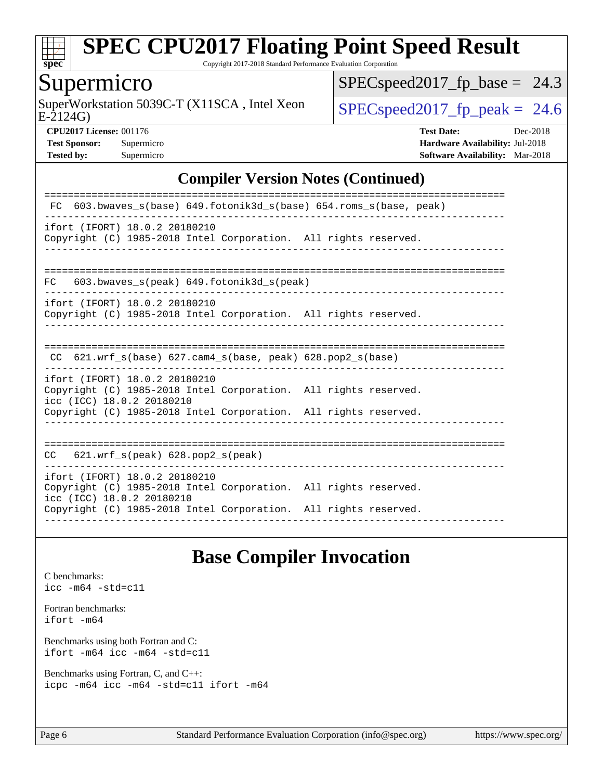

Copyright 2017-2018 Standard Performance Evaluation Corporation

## Supermicro

E-2124G) SuperWorkstation 5039C-T (X11SCA, Intel Xeon  $\big|$  [SPECspeed2017\\_fp\\_peak =](http://www.spec.org/auto/cpu2017/Docs/result-fields.html#SPECspeed2017fppeak) 24.6

 $SPEC speed2017_fp\_base = 24.3$ 

**[CPU2017 License:](http://www.spec.org/auto/cpu2017/Docs/result-fields.html#CPU2017License)** 001176 **[Test Date:](http://www.spec.org/auto/cpu2017/Docs/result-fields.html#TestDate)** Dec-2018 **[Test Sponsor:](http://www.spec.org/auto/cpu2017/Docs/result-fields.html#TestSponsor)** Supermicro **[Hardware Availability:](http://www.spec.org/auto/cpu2017/Docs/result-fields.html#HardwareAvailability)** Jul-2018 **[Tested by:](http://www.spec.org/auto/cpu2017/Docs/result-fields.html#Testedby)** Supermicro **[Software Availability:](http://www.spec.org/auto/cpu2017/Docs/result-fields.html#SoftwareAvailability)** Mar-2018

#### **[Compiler Version Notes \(Continued\)](http://www.spec.org/auto/cpu2017/Docs/result-fields.html#CompilerVersionNotes)**

### **[Base Compiler Invocation](http://www.spec.org/auto/cpu2017/Docs/result-fields.html#BaseCompilerInvocation)**

[C benchmarks](http://www.spec.org/auto/cpu2017/Docs/result-fields.html#Cbenchmarks): [icc -m64 -std=c11](http://www.spec.org/cpu2017/results/res2018q4/cpu2017-20181210-10175.flags.html#user_CCbase_intel_icc_64bit_c11_33ee0cdaae7deeeab2a9725423ba97205ce30f63b9926c2519791662299b76a0318f32ddfffdc46587804de3178b4f9328c46fa7c2b0cd779d7a61945c91cd35)

[Fortran benchmarks](http://www.spec.org/auto/cpu2017/Docs/result-fields.html#Fortranbenchmarks): [ifort -m64](http://www.spec.org/cpu2017/results/res2018q4/cpu2017-20181210-10175.flags.html#user_FCbase_intel_ifort_64bit_24f2bb282fbaeffd6157abe4f878425411749daecae9a33200eee2bee2fe76f3b89351d69a8130dd5949958ce389cf37ff59a95e7a40d588e8d3a57e0c3fd751)

[Benchmarks using both Fortran and C](http://www.spec.org/auto/cpu2017/Docs/result-fields.html#BenchmarksusingbothFortranandC): [ifort -m64](http://www.spec.org/cpu2017/results/res2018q4/cpu2017-20181210-10175.flags.html#user_CC_FCbase_intel_ifort_64bit_24f2bb282fbaeffd6157abe4f878425411749daecae9a33200eee2bee2fe76f3b89351d69a8130dd5949958ce389cf37ff59a95e7a40d588e8d3a57e0c3fd751) [icc -m64 -std=c11](http://www.spec.org/cpu2017/results/res2018q4/cpu2017-20181210-10175.flags.html#user_CC_FCbase_intel_icc_64bit_c11_33ee0cdaae7deeeab2a9725423ba97205ce30f63b9926c2519791662299b76a0318f32ddfffdc46587804de3178b4f9328c46fa7c2b0cd779d7a61945c91cd35)

[Benchmarks using Fortran, C, and C++:](http://www.spec.org/auto/cpu2017/Docs/result-fields.html#BenchmarksusingFortranCandCXX) [icpc -m64](http://www.spec.org/cpu2017/results/res2018q4/cpu2017-20181210-10175.flags.html#user_CC_CXX_FCbase_intel_icpc_64bit_4ecb2543ae3f1412ef961e0650ca070fec7b7afdcd6ed48761b84423119d1bf6bdf5cad15b44d48e7256388bc77273b966e5eb805aefd121eb22e9299b2ec9d9) [icc -m64 -std=c11](http://www.spec.org/cpu2017/results/res2018q4/cpu2017-20181210-10175.flags.html#user_CC_CXX_FCbase_intel_icc_64bit_c11_33ee0cdaae7deeeab2a9725423ba97205ce30f63b9926c2519791662299b76a0318f32ddfffdc46587804de3178b4f9328c46fa7c2b0cd779d7a61945c91cd35) [ifort -m64](http://www.spec.org/cpu2017/results/res2018q4/cpu2017-20181210-10175.flags.html#user_CC_CXX_FCbase_intel_ifort_64bit_24f2bb282fbaeffd6157abe4f878425411749daecae9a33200eee2bee2fe76f3b89351d69a8130dd5949958ce389cf37ff59a95e7a40d588e8d3a57e0c3fd751)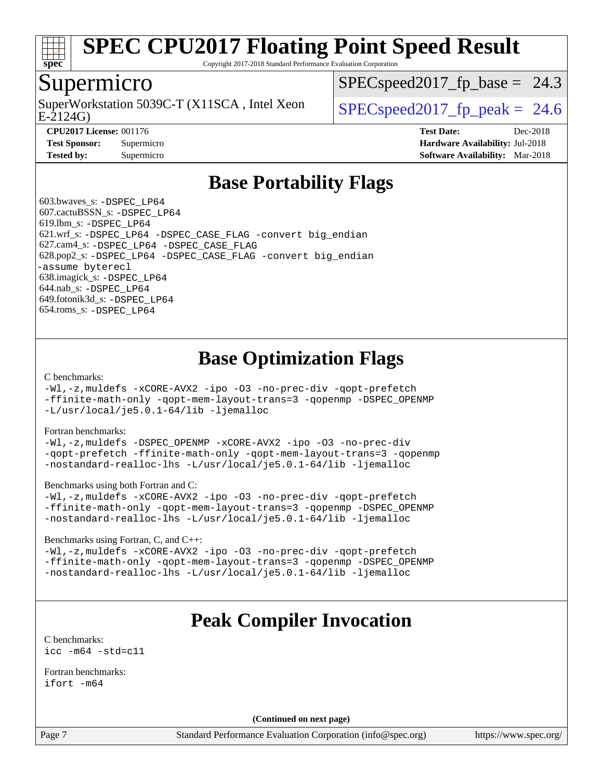

Copyright 2017-2018 Standard Performance Evaluation Corporation

### Supermicro

E-2124G) SuperWorkstation 5039C-T (X11SCA, Intel Xeon  $\big|$  SPECspeed2017 fp\_peak = 24.6

 $SPECspeed2017_fp\_base = 24.3$ 

**[CPU2017 License:](http://www.spec.org/auto/cpu2017/Docs/result-fields.html#CPU2017License)** 001176 **[Test Date:](http://www.spec.org/auto/cpu2017/Docs/result-fields.html#TestDate)** Dec-2018 **[Test Sponsor:](http://www.spec.org/auto/cpu2017/Docs/result-fields.html#TestSponsor)** Supermicro **[Hardware Availability:](http://www.spec.org/auto/cpu2017/Docs/result-fields.html#HardwareAvailability)** Jul-2018 **[Tested by:](http://www.spec.org/auto/cpu2017/Docs/result-fields.html#Testedby)** Supermicro **[Software Availability:](http://www.spec.org/auto/cpu2017/Docs/result-fields.html#SoftwareAvailability)** Mar-2018

## **[Base Portability Flags](http://www.spec.org/auto/cpu2017/Docs/result-fields.html#BasePortabilityFlags)**

 603.bwaves\_s: [-DSPEC\\_LP64](http://www.spec.org/cpu2017/results/res2018q4/cpu2017-20181210-10175.flags.html#suite_basePORTABILITY603_bwaves_s_DSPEC_LP64) 607.cactuBSSN\_s: [-DSPEC\\_LP64](http://www.spec.org/cpu2017/results/res2018q4/cpu2017-20181210-10175.flags.html#suite_basePORTABILITY607_cactuBSSN_s_DSPEC_LP64) 619.lbm\_s: [-DSPEC\\_LP64](http://www.spec.org/cpu2017/results/res2018q4/cpu2017-20181210-10175.flags.html#suite_basePORTABILITY619_lbm_s_DSPEC_LP64) 621.wrf\_s: [-DSPEC\\_LP64](http://www.spec.org/cpu2017/results/res2018q4/cpu2017-20181210-10175.flags.html#suite_basePORTABILITY621_wrf_s_DSPEC_LP64) [-DSPEC\\_CASE\\_FLAG](http://www.spec.org/cpu2017/results/res2018q4/cpu2017-20181210-10175.flags.html#b621.wrf_s_baseCPORTABILITY_DSPEC_CASE_FLAG) [-convert big\\_endian](http://www.spec.org/cpu2017/results/res2018q4/cpu2017-20181210-10175.flags.html#user_baseFPORTABILITY621_wrf_s_convert_big_endian_c3194028bc08c63ac5d04de18c48ce6d347e4e562e8892b8bdbdc0214820426deb8554edfa529a3fb25a586e65a3d812c835984020483e7e73212c4d31a38223) 627.cam4\_s: [-DSPEC\\_LP64](http://www.spec.org/cpu2017/results/res2018q4/cpu2017-20181210-10175.flags.html#suite_basePORTABILITY627_cam4_s_DSPEC_LP64) [-DSPEC\\_CASE\\_FLAG](http://www.spec.org/cpu2017/results/res2018q4/cpu2017-20181210-10175.flags.html#b627.cam4_s_baseCPORTABILITY_DSPEC_CASE_FLAG) 628.pop2\_s: [-DSPEC\\_LP64](http://www.spec.org/cpu2017/results/res2018q4/cpu2017-20181210-10175.flags.html#suite_basePORTABILITY628_pop2_s_DSPEC_LP64) [-DSPEC\\_CASE\\_FLAG](http://www.spec.org/cpu2017/results/res2018q4/cpu2017-20181210-10175.flags.html#b628.pop2_s_baseCPORTABILITY_DSPEC_CASE_FLAG) [-convert big\\_endian](http://www.spec.org/cpu2017/results/res2018q4/cpu2017-20181210-10175.flags.html#user_baseFPORTABILITY628_pop2_s_convert_big_endian_c3194028bc08c63ac5d04de18c48ce6d347e4e562e8892b8bdbdc0214820426deb8554edfa529a3fb25a586e65a3d812c835984020483e7e73212c4d31a38223) [-assume byterecl](http://www.spec.org/cpu2017/results/res2018q4/cpu2017-20181210-10175.flags.html#user_baseFPORTABILITY628_pop2_s_assume_byterecl_7e47d18b9513cf18525430bbf0f2177aa9bf368bc7a059c09b2c06a34b53bd3447c950d3f8d6c70e3faf3a05c8557d66a5798b567902e8849adc142926523472) 638.imagick\_s: [-DSPEC\\_LP64](http://www.spec.org/cpu2017/results/res2018q4/cpu2017-20181210-10175.flags.html#suite_basePORTABILITY638_imagick_s_DSPEC_LP64) 644.nab\_s: [-DSPEC\\_LP64](http://www.spec.org/cpu2017/results/res2018q4/cpu2017-20181210-10175.flags.html#suite_basePORTABILITY644_nab_s_DSPEC_LP64) 649.fotonik3d\_s: [-DSPEC\\_LP64](http://www.spec.org/cpu2017/results/res2018q4/cpu2017-20181210-10175.flags.html#suite_basePORTABILITY649_fotonik3d_s_DSPEC_LP64) 654.roms\_s: [-DSPEC\\_LP64](http://www.spec.org/cpu2017/results/res2018q4/cpu2017-20181210-10175.flags.html#suite_basePORTABILITY654_roms_s_DSPEC_LP64)

## **[Base Optimization Flags](http://www.spec.org/auto/cpu2017/Docs/result-fields.html#BaseOptimizationFlags)**

[C benchmarks](http://www.spec.org/auto/cpu2017/Docs/result-fields.html#Cbenchmarks):

[-Wl,-z,muldefs](http://www.spec.org/cpu2017/results/res2018q4/cpu2017-20181210-10175.flags.html#user_CCbase_link_force_multiple1_b4cbdb97b34bdee9ceefcfe54f4c8ea74255f0b02a4b23e853cdb0e18eb4525ac79b5a88067c842dd0ee6996c24547a27a4b99331201badda8798ef8a743f577) [-xCORE-AVX2](http://www.spec.org/cpu2017/results/res2018q4/cpu2017-20181210-10175.flags.html#user_CCbase_f-xCORE-AVX2) [-ipo](http://www.spec.org/cpu2017/results/res2018q4/cpu2017-20181210-10175.flags.html#user_CCbase_f-ipo) [-O3](http://www.spec.org/cpu2017/results/res2018q4/cpu2017-20181210-10175.flags.html#user_CCbase_f-O3) [-no-prec-div](http://www.spec.org/cpu2017/results/res2018q4/cpu2017-20181210-10175.flags.html#user_CCbase_f-no-prec-div) [-qopt-prefetch](http://www.spec.org/cpu2017/results/res2018q4/cpu2017-20181210-10175.flags.html#user_CCbase_f-qopt-prefetch) [-ffinite-math-only](http://www.spec.org/cpu2017/results/res2018q4/cpu2017-20181210-10175.flags.html#user_CCbase_f_finite_math_only_cb91587bd2077682c4b38af759c288ed7c732db004271a9512da14a4f8007909a5f1427ecbf1a0fb78ff2a814402c6114ac565ca162485bbcae155b5e4258871) [-qopt-mem-layout-trans=3](http://www.spec.org/cpu2017/results/res2018q4/cpu2017-20181210-10175.flags.html#user_CCbase_f-qopt-mem-layout-trans_de80db37974c74b1f0e20d883f0b675c88c3b01e9d123adea9b28688d64333345fb62bc4a798493513fdb68f60282f9a726aa07f478b2f7113531aecce732043) [-qopenmp](http://www.spec.org/cpu2017/results/res2018q4/cpu2017-20181210-10175.flags.html#user_CCbase_qopenmp_16be0c44f24f464004c6784a7acb94aca937f053568ce72f94b139a11c7c168634a55f6653758ddd83bcf7b8463e8028bb0b48b77bcddc6b78d5d95bb1df2967) [-DSPEC\\_OPENMP](http://www.spec.org/cpu2017/results/res2018q4/cpu2017-20181210-10175.flags.html#suite_CCbase_DSPEC_OPENMP) [-L/usr/local/je5.0.1-64/lib](http://www.spec.org/cpu2017/results/res2018q4/cpu2017-20181210-10175.flags.html#user_CCbase_jemalloc_link_path64_4b10a636b7bce113509b17f3bd0d6226c5fb2346b9178c2d0232c14f04ab830f976640479e5c33dc2bcbbdad86ecfb6634cbbd4418746f06f368b512fced5394) [-ljemalloc](http://www.spec.org/cpu2017/results/res2018q4/cpu2017-20181210-10175.flags.html#user_CCbase_jemalloc_link_lib_d1249b907c500fa1c0672f44f562e3d0f79738ae9e3c4a9c376d49f265a04b9c99b167ecedbf6711b3085be911c67ff61f150a17b3472be731631ba4d0471706)

[Fortran benchmarks](http://www.spec.org/auto/cpu2017/Docs/result-fields.html#Fortranbenchmarks):

[-Wl,-z,muldefs](http://www.spec.org/cpu2017/results/res2018q4/cpu2017-20181210-10175.flags.html#user_FCbase_link_force_multiple1_b4cbdb97b34bdee9ceefcfe54f4c8ea74255f0b02a4b23e853cdb0e18eb4525ac79b5a88067c842dd0ee6996c24547a27a4b99331201badda8798ef8a743f577) [-DSPEC\\_OPENMP](http://www.spec.org/cpu2017/results/res2018q4/cpu2017-20181210-10175.flags.html#suite_FCbase_DSPEC_OPENMP) [-xCORE-AVX2](http://www.spec.org/cpu2017/results/res2018q4/cpu2017-20181210-10175.flags.html#user_FCbase_f-xCORE-AVX2) [-ipo](http://www.spec.org/cpu2017/results/res2018q4/cpu2017-20181210-10175.flags.html#user_FCbase_f-ipo) [-O3](http://www.spec.org/cpu2017/results/res2018q4/cpu2017-20181210-10175.flags.html#user_FCbase_f-O3) [-no-prec-div](http://www.spec.org/cpu2017/results/res2018q4/cpu2017-20181210-10175.flags.html#user_FCbase_f-no-prec-div) [-qopt-prefetch](http://www.spec.org/cpu2017/results/res2018q4/cpu2017-20181210-10175.flags.html#user_FCbase_f-qopt-prefetch) [-ffinite-math-only](http://www.spec.org/cpu2017/results/res2018q4/cpu2017-20181210-10175.flags.html#user_FCbase_f_finite_math_only_cb91587bd2077682c4b38af759c288ed7c732db004271a9512da14a4f8007909a5f1427ecbf1a0fb78ff2a814402c6114ac565ca162485bbcae155b5e4258871) [-qopt-mem-layout-trans=3](http://www.spec.org/cpu2017/results/res2018q4/cpu2017-20181210-10175.flags.html#user_FCbase_f-qopt-mem-layout-trans_de80db37974c74b1f0e20d883f0b675c88c3b01e9d123adea9b28688d64333345fb62bc4a798493513fdb68f60282f9a726aa07f478b2f7113531aecce732043) [-qopenmp](http://www.spec.org/cpu2017/results/res2018q4/cpu2017-20181210-10175.flags.html#user_FCbase_qopenmp_16be0c44f24f464004c6784a7acb94aca937f053568ce72f94b139a11c7c168634a55f6653758ddd83bcf7b8463e8028bb0b48b77bcddc6b78d5d95bb1df2967) [-nostandard-realloc-lhs](http://www.spec.org/cpu2017/results/res2018q4/cpu2017-20181210-10175.flags.html#user_FCbase_f_2003_std_realloc_82b4557e90729c0f113870c07e44d33d6f5a304b4f63d4c15d2d0f1fab99f5daaed73bdb9275d9ae411527f28b936061aa8b9c8f2d63842963b95c9dd6426b8a) [-L/usr/local/je5.0.1-64/lib](http://www.spec.org/cpu2017/results/res2018q4/cpu2017-20181210-10175.flags.html#user_FCbase_jemalloc_link_path64_4b10a636b7bce113509b17f3bd0d6226c5fb2346b9178c2d0232c14f04ab830f976640479e5c33dc2bcbbdad86ecfb6634cbbd4418746f06f368b512fced5394) [-ljemalloc](http://www.spec.org/cpu2017/results/res2018q4/cpu2017-20181210-10175.flags.html#user_FCbase_jemalloc_link_lib_d1249b907c500fa1c0672f44f562e3d0f79738ae9e3c4a9c376d49f265a04b9c99b167ecedbf6711b3085be911c67ff61f150a17b3472be731631ba4d0471706)

[Benchmarks using both Fortran and C](http://www.spec.org/auto/cpu2017/Docs/result-fields.html#BenchmarksusingbothFortranandC):

[-Wl,-z,muldefs](http://www.spec.org/cpu2017/results/res2018q4/cpu2017-20181210-10175.flags.html#user_CC_FCbase_link_force_multiple1_b4cbdb97b34bdee9ceefcfe54f4c8ea74255f0b02a4b23e853cdb0e18eb4525ac79b5a88067c842dd0ee6996c24547a27a4b99331201badda8798ef8a743f577) [-xCORE-AVX2](http://www.spec.org/cpu2017/results/res2018q4/cpu2017-20181210-10175.flags.html#user_CC_FCbase_f-xCORE-AVX2) [-ipo](http://www.spec.org/cpu2017/results/res2018q4/cpu2017-20181210-10175.flags.html#user_CC_FCbase_f-ipo) [-O3](http://www.spec.org/cpu2017/results/res2018q4/cpu2017-20181210-10175.flags.html#user_CC_FCbase_f-O3) [-no-prec-div](http://www.spec.org/cpu2017/results/res2018q4/cpu2017-20181210-10175.flags.html#user_CC_FCbase_f-no-prec-div) [-qopt-prefetch](http://www.spec.org/cpu2017/results/res2018q4/cpu2017-20181210-10175.flags.html#user_CC_FCbase_f-qopt-prefetch) [-ffinite-math-only](http://www.spec.org/cpu2017/results/res2018q4/cpu2017-20181210-10175.flags.html#user_CC_FCbase_f_finite_math_only_cb91587bd2077682c4b38af759c288ed7c732db004271a9512da14a4f8007909a5f1427ecbf1a0fb78ff2a814402c6114ac565ca162485bbcae155b5e4258871) [-qopt-mem-layout-trans=3](http://www.spec.org/cpu2017/results/res2018q4/cpu2017-20181210-10175.flags.html#user_CC_FCbase_f-qopt-mem-layout-trans_de80db37974c74b1f0e20d883f0b675c88c3b01e9d123adea9b28688d64333345fb62bc4a798493513fdb68f60282f9a726aa07f478b2f7113531aecce732043) [-qopenmp](http://www.spec.org/cpu2017/results/res2018q4/cpu2017-20181210-10175.flags.html#user_CC_FCbase_qopenmp_16be0c44f24f464004c6784a7acb94aca937f053568ce72f94b139a11c7c168634a55f6653758ddd83bcf7b8463e8028bb0b48b77bcddc6b78d5d95bb1df2967) [-DSPEC\\_OPENMP](http://www.spec.org/cpu2017/results/res2018q4/cpu2017-20181210-10175.flags.html#suite_CC_FCbase_DSPEC_OPENMP) [-nostandard-realloc-lhs](http://www.spec.org/cpu2017/results/res2018q4/cpu2017-20181210-10175.flags.html#user_CC_FCbase_f_2003_std_realloc_82b4557e90729c0f113870c07e44d33d6f5a304b4f63d4c15d2d0f1fab99f5daaed73bdb9275d9ae411527f28b936061aa8b9c8f2d63842963b95c9dd6426b8a) [-L/usr/local/je5.0.1-64/lib](http://www.spec.org/cpu2017/results/res2018q4/cpu2017-20181210-10175.flags.html#user_CC_FCbase_jemalloc_link_path64_4b10a636b7bce113509b17f3bd0d6226c5fb2346b9178c2d0232c14f04ab830f976640479e5c33dc2bcbbdad86ecfb6634cbbd4418746f06f368b512fced5394) [-ljemalloc](http://www.spec.org/cpu2017/results/res2018q4/cpu2017-20181210-10175.flags.html#user_CC_FCbase_jemalloc_link_lib_d1249b907c500fa1c0672f44f562e3d0f79738ae9e3c4a9c376d49f265a04b9c99b167ecedbf6711b3085be911c67ff61f150a17b3472be731631ba4d0471706)

#### [Benchmarks using Fortran, C, and C++:](http://www.spec.org/auto/cpu2017/Docs/result-fields.html#BenchmarksusingFortranCandCXX)

[-Wl,-z,muldefs](http://www.spec.org/cpu2017/results/res2018q4/cpu2017-20181210-10175.flags.html#user_CC_CXX_FCbase_link_force_multiple1_b4cbdb97b34bdee9ceefcfe54f4c8ea74255f0b02a4b23e853cdb0e18eb4525ac79b5a88067c842dd0ee6996c24547a27a4b99331201badda8798ef8a743f577) [-xCORE-AVX2](http://www.spec.org/cpu2017/results/res2018q4/cpu2017-20181210-10175.flags.html#user_CC_CXX_FCbase_f-xCORE-AVX2) [-ipo](http://www.spec.org/cpu2017/results/res2018q4/cpu2017-20181210-10175.flags.html#user_CC_CXX_FCbase_f-ipo) [-O3](http://www.spec.org/cpu2017/results/res2018q4/cpu2017-20181210-10175.flags.html#user_CC_CXX_FCbase_f-O3) [-no-prec-div](http://www.spec.org/cpu2017/results/res2018q4/cpu2017-20181210-10175.flags.html#user_CC_CXX_FCbase_f-no-prec-div) [-qopt-prefetch](http://www.spec.org/cpu2017/results/res2018q4/cpu2017-20181210-10175.flags.html#user_CC_CXX_FCbase_f-qopt-prefetch) [-ffinite-math-only](http://www.spec.org/cpu2017/results/res2018q4/cpu2017-20181210-10175.flags.html#user_CC_CXX_FCbase_f_finite_math_only_cb91587bd2077682c4b38af759c288ed7c732db004271a9512da14a4f8007909a5f1427ecbf1a0fb78ff2a814402c6114ac565ca162485bbcae155b5e4258871) [-qopt-mem-layout-trans=3](http://www.spec.org/cpu2017/results/res2018q4/cpu2017-20181210-10175.flags.html#user_CC_CXX_FCbase_f-qopt-mem-layout-trans_de80db37974c74b1f0e20d883f0b675c88c3b01e9d123adea9b28688d64333345fb62bc4a798493513fdb68f60282f9a726aa07f478b2f7113531aecce732043) [-qopenmp](http://www.spec.org/cpu2017/results/res2018q4/cpu2017-20181210-10175.flags.html#user_CC_CXX_FCbase_qopenmp_16be0c44f24f464004c6784a7acb94aca937f053568ce72f94b139a11c7c168634a55f6653758ddd83bcf7b8463e8028bb0b48b77bcddc6b78d5d95bb1df2967) [-DSPEC\\_OPENMP](http://www.spec.org/cpu2017/results/res2018q4/cpu2017-20181210-10175.flags.html#suite_CC_CXX_FCbase_DSPEC_OPENMP) [-nostandard-realloc-lhs](http://www.spec.org/cpu2017/results/res2018q4/cpu2017-20181210-10175.flags.html#user_CC_CXX_FCbase_f_2003_std_realloc_82b4557e90729c0f113870c07e44d33d6f5a304b4f63d4c15d2d0f1fab99f5daaed73bdb9275d9ae411527f28b936061aa8b9c8f2d63842963b95c9dd6426b8a) [-L/usr/local/je5.0.1-64/lib](http://www.spec.org/cpu2017/results/res2018q4/cpu2017-20181210-10175.flags.html#user_CC_CXX_FCbase_jemalloc_link_path64_4b10a636b7bce113509b17f3bd0d6226c5fb2346b9178c2d0232c14f04ab830f976640479e5c33dc2bcbbdad86ecfb6634cbbd4418746f06f368b512fced5394) [-ljemalloc](http://www.spec.org/cpu2017/results/res2018q4/cpu2017-20181210-10175.flags.html#user_CC_CXX_FCbase_jemalloc_link_lib_d1249b907c500fa1c0672f44f562e3d0f79738ae9e3c4a9c376d49f265a04b9c99b167ecedbf6711b3085be911c67ff61f150a17b3472be731631ba4d0471706)

## **[Peak Compiler Invocation](http://www.spec.org/auto/cpu2017/Docs/result-fields.html#PeakCompilerInvocation)**

[C benchmarks](http://www.spec.org/auto/cpu2017/Docs/result-fields.html#Cbenchmarks): [icc -m64 -std=c11](http://www.spec.org/cpu2017/results/res2018q4/cpu2017-20181210-10175.flags.html#user_CCpeak_intel_icc_64bit_c11_33ee0cdaae7deeeab2a9725423ba97205ce30f63b9926c2519791662299b76a0318f32ddfffdc46587804de3178b4f9328c46fa7c2b0cd779d7a61945c91cd35)

[Fortran benchmarks](http://www.spec.org/auto/cpu2017/Docs/result-fields.html#Fortranbenchmarks): [ifort -m64](http://www.spec.org/cpu2017/results/res2018q4/cpu2017-20181210-10175.flags.html#user_FCpeak_intel_ifort_64bit_24f2bb282fbaeffd6157abe4f878425411749daecae9a33200eee2bee2fe76f3b89351d69a8130dd5949958ce389cf37ff59a95e7a40d588e8d3a57e0c3fd751)

**(Continued on next page)**

Page 7 Standard Performance Evaluation Corporation [\(info@spec.org\)](mailto:info@spec.org) <https://www.spec.org/>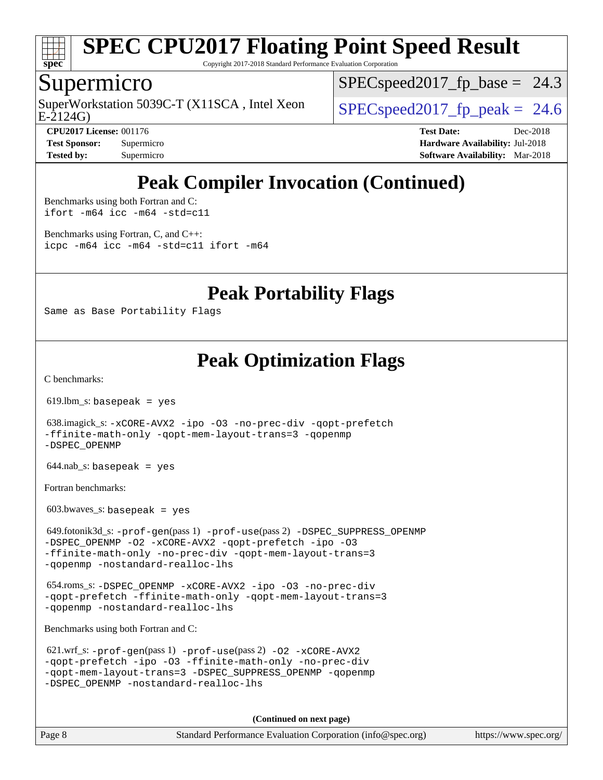

Copyright 2017-2018 Standard Performance Evaluation Corporation

### Supermicro

E-2124G) SuperWorkstation 5039C-T (X11SCA, Intel Xeon  $\vert$  [SPECspeed2017\\_fp\\_peak =](http://www.spec.org/auto/cpu2017/Docs/result-fields.html#SPECspeed2017fppeak) 24.6

 $SPECspeed2017_fp\_base = 24.3$ 

**[CPU2017 License:](http://www.spec.org/auto/cpu2017/Docs/result-fields.html#CPU2017License)** 001176 **[Test Date:](http://www.spec.org/auto/cpu2017/Docs/result-fields.html#TestDate)** Dec-2018 **[Test Sponsor:](http://www.spec.org/auto/cpu2017/Docs/result-fields.html#TestSponsor)** Supermicro **[Hardware Availability:](http://www.spec.org/auto/cpu2017/Docs/result-fields.html#HardwareAvailability)** Jul-2018 **[Tested by:](http://www.spec.org/auto/cpu2017/Docs/result-fields.html#Testedby)** Supermicro **[Software Availability:](http://www.spec.org/auto/cpu2017/Docs/result-fields.html#SoftwareAvailability)** Mar-2018

## **[Peak Compiler Invocation \(Continued\)](http://www.spec.org/auto/cpu2017/Docs/result-fields.html#PeakCompilerInvocation)**

[Benchmarks using both Fortran and C](http://www.spec.org/auto/cpu2017/Docs/result-fields.html#BenchmarksusingbothFortranandC): [ifort -m64](http://www.spec.org/cpu2017/results/res2018q4/cpu2017-20181210-10175.flags.html#user_CC_FCpeak_intel_ifort_64bit_24f2bb282fbaeffd6157abe4f878425411749daecae9a33200eee2bee2fe76f3b89351d69a8130dd5949958ce389cf37ff59a95e7a40d588e8d3a57e0c3fd751) [icc -m64 -std=c11](http://www.spec.org/cpu2017/results/res2018q4/cpu2017-20181210-10175.flags.html#user_CC_FCpeak_intel_icc_64bit_c11_33ee0cdaae7deeeab2a9725423ba97205ce30f63b9926c2519791662299b76a0318f32ddfffdc46587804de3178b4f9328c46fa7c2b0cd779d7a61945c91cd35)

[Benchmarks using Fortran, C, and C++:](http://www.spec.org/auto/cpu2017/Docs/result-fields.html#BenchmarksusingFortranCandCXX) [icpc -m64](http://www.spec.org/cpu2017/results/res2018q4/cpu2017-20181210-10175.flags.html#user_CC_CXX_FCpeak_intel_icpc_64bit_4ecb2543ae3f1412ef961e0650ca070fec7b7afdcd6ed48761b84423119d1bf6bdf5cad15b44d48e7256388bc77273b966e5eb805aefd121eb22e9299b2ec9d9) [icc -m64 -std=c11](http://www.spec.org/cpu2017/results/res2018q4/cpu2017-20181210-10175.flags.html#user_CC_CXX_FCpeak_intel_icc_64bit_c11_33ee0cdaae7deeeab2a9725423ba97205ce30f63b9926c2519791662299b76a0318f32ddfffdc46587804de3178b4f9328c46fa7c2b0cd779d7a61945c91cd35) [ifort -m64](http://www.spec.org/cpu2017/results/res2018q4/cpu2017-20181210-10175.flags.html#user_CC_CXX_FCpeak_intel_ifort_64bit_24f2bb282fbaeffd6157abe4f878425411749daecae9a33200eee2bee2fe76f3b89351d69a8130dd5949958ce389cf37ff59a95e7a40d588e8d3a57e0c3fd751)

**[Peak Portability Flags](http://www.spec.org/auto/cpu2017/Docs/result-fields.html#PeakPortabilityFlags)**

Same as Base Portability Flags

## **[Peak Optimization Flags](http://www.spec.org/auto/cpu2017/Docs/result-fields.html#PeakOptimizationFlags)**

[C benchmarks](http://www.spec.org/auto/cpu2017/Docs/result-fields.html#Cbenchmarks):

619.lbm\_s: basepeak = yes

 638.imagick\_s: [-xCORE-AVX2](http://www.spec.org/cpu2017/results/res2018q4/cpu2017-20181210-10175.flags.html#user_peakCOPTIMIZE638_imagick_s_f-xCORE-AVX2) [-ipo](http://www.spec.org/cpu2017/results/res2018q4/cpu2017-20181210-10175.flags.html#user_peakCOPTIMIZE638_imagick_s_f-ipo) [-O3](http://www.spec.org/cpu2017/results/res2018q4/cpu2017-20181210-10175.flags.html#user_peakCOPTIMIZE638_imagick_s_f-O3) [-no-prec-div](http://www.spec.org/cpu2017/results/res2018q4/cpu2017-20181210-10175.flags.html#user_peakCOPTIMIZE638_imagick_s_f-no-prec-div) [-qopt-prefetch](http://www.spec.org/cpu2017/results/res2018q4/cpu2017-20181210-10175.flags.html#user_peakCOPTIMIZE638_imagick_s_f-qopt-prefetch) [-ffinite-math-only](http://www.spec.org/cpu2017/results/res2018q4/cpu2017-20181210-10175.flags.html#user_peakCOPTIMIZE638_imagick_s_f_finite_math_only_cb91587bd2077682c4b38af759c288ed7c732db004271a9512da14a4f8007909a5f1427ecbf1a0fb78ff2a814402c6114ac565ca162485bbcae155b5e4258871) [-qopt-mem-layout-trans=3](http://www.spec.org/cpu2017/results/res2018q4/cpu2017-20181210-10175.flags.html#user_peakCOPTIMIZE638_imagick_s_f-qopt-mem-layout-trans_de80db37974c74b1f0e20d883f0b675c88c3b01e9d123adea9b28688d64333345fb62bc4a798493513fdb68f60282f9a726aa07f478b2f7113531aecce732043) [-qopenmp](http://www.spec.org/cpu2017/results/res2018q4/cpu2017-20181210-10175.flags.html#user_peakCOPTIMIZE638_imagick_s_qopenmp_16be0c44f24f464004c6784a7acb94aca937f053568ce72f94b139a11c7c168634a55f6653758ddd83bcf7b8463e8028bb0b48b77bcddc6b78d5d95bb1df2967) [-DSPEC\\_OPENMP](http://www.spec.org/cpu2017/results/res2018q4/cpu2017-20181210-10175.flags.html#suite_peakCOPTIMIZE638_imagick_s_DSPEC_OPENMP)

644.nab\_s: basepeak = yes

[Fortran benchmarks](http://www.spec.org/auto/cpu2017/Docs/result-fields.html#Fortranbenchmarks):

 $603.bwaves$  s: basepeak = yes

 649.fotonik3d\_s: [-prof-gen](http://www.spec.org/cpu2017/results/res2018q4/cpu2017-20181210-10175.flags.html#user_peakPASS1_FFLAGSPASS1_LDFLAGS649_fotonik3d_s_prof_gen_5aa4926d6013ddb2a31985c654b3eb18169fc0c6952a63635c234f711e6e63dd76e94ad52365559451ec499a2cdb89e4dc58ba4c67ef54ca681ffbe1461d6b36)(pass 1) [-prof-use](http://www.spec.org/cpu2017/results/res2018q4/cpu2017-20181210-10175.flags.html#user_peakPASS2_FFLAGSPASS2_LDFLAGS649_fotonik3d_s_prof_use_1a21ceae95f36a2b53c25747139a6c16ca95bd9def2a207b4f0849963b97e94f5260e30a0c64f4bb623698870e679ca08317ef8150905d41bd88c6f78df73f19)(pass 2) [-DSPEC\\_SUPPRESS\\_OPENMP](http://www.spec.org/cpu2017/results/res2018q4/cpu2017-20181210-10175.flags.html#suite_peakPASS1_FOPTIMIZE649_fotonik3d_s_DSPEC_SUPPRESS_OPENMP) [-DSPEC\\_OPENMP](http://www.spec.org/cpu2017/results/res2018q4/cpu2017-20181210-10175.flags.html#suite_peakPASS2_FOPTIMIZE649_fotonik3d_s_DSPEC_OPENMP) [-O2](http://www.spec.org/cpu2017/results/res2018q4/cpu2017-20181210-10175.flags.html#user_peakPASS1_FOPTIMIZE649_fotonik3d_s_f-O2) [-xCORE-AVX2](http://www.spec.org/cpu2017/results/res2018q4/cpu2017-20181210-10175.flags.html#user_peakPASS2_FOPTIMIZE649_fotonik3d_s_f-xCORE-AVX2) [-qopt-prefetch](http://www.spec.org/cpu2017/results/res2018q4/cpu2017-20181210-10175.flags.html#user_peakPASS1_FOPTIMIZEPASS2_FOPTIMIZE649_fotonik3d_s_f-qopt-prefetch) [-ipo](http://www.spec.org/cpu2017/results/res2018q4/cpu2017-20181210-10175.flags.html#user_peakPASS2_FOPTIMIZE649_fotonik3d_s_f-ipo) [-O3](http://www.spec.org/cpu2017/results/res2018q4/cpu2017-20181210-10175.flags.html#user_peakPASS2_FOPTIMIZE649_fotonik3d_s_f-O3) [-ffinite-math-only](http://www.spec.org/cpu2017/results/res2018q4/cpu2017-20181210-10175.flags.html#user_peakPASS1_FOPTIMIZEPASS2_FOPTIMIZE649_fotonik3d_s_f_finite_math_only_cb91587bd2077682c4b38af759c288ed7c732db004271a9512da14a4f8007909a5f1427ecbf1a0fb78ff2a814402c6114ac565ca162485bbcae155b5e4258871) [-no-prec-div](http://www.spec.org/cpu2017/results/res2018q4/cpu2017-20181210-10175.flags.html#user_peakPASS2_FOPTIMIZE649_fotonik3d_s_f-no-prec-div) [-qopt-mem-layout-trans=3](http://www.spec.org/cpu2017/results/res2018q4/cpu2017-20181210-10175.flags.html#user_peakPASS1_FOPTIMIZEPASS2_FOPTIMIZE649_fotonik3d_s_f-qopt-mem-layout-trans_de80db37974c74b1f0e20d883f0b675c88c3b01e9d123adea9b28688d64333345fb62bc4a798493513fdb68f60282f9a726aa07f478b2f7113531aecce732043) [-qopenmp](http://www.spec.org/cpu2017/results/res2018q4/cpu2017-20181210-10175.flags.html#user_peakPASS2_FOPTIMIZE649_fotonik3d_s_qopenmp_16be0c44f24f464004c6784a7acb94aca937f053568ce72f94b139a11c7c168634a55f6653758ddd83bcf7b8463e8028bb0b48b77bcddc6b78d5d95bb1df2967) [-nostandard-realloc-lhs](http://www.spec.org/cpu2017/results/res2018q4/cpu2017-20181210-10175.flags.html#user_peakEXTRA_FOPTIMIZE649_fotonik3d_s_f_2003_std_realloc_82b4557e90729c0f113870c07e44d33d6f5a304b4f63d4c15d2d0f1fab99f5daaed73bdb9275d9ae411527f28b936061aa8b9c8f2d63842963b95c9dd6426b8a)

 654.roms\_s: [-DSPEC\\_OPENMP](http://www.spec.org/cpu2017/results/res2018q4/cpu2017-20181210-10175.flags.html#suite_peakFOPTIMIZE654_roms_s_DSPEC_OPENMP) [-xCORE-AVX2](http://www.spec.org/cpu2017/results/res2018q4/cpu2017-20181210-10175.flags.html#user_peakFOPTIMIZE654_roms_s_f-xCORE-AVX2) [-ipo](http://www.spec.org/cpu2017/results/res2018q4/cpu2017-20181210-10175.flags.html#user_peakFOPTIMIZE654_roms_s_f-ipo) [-O3](http://www.spec.org/cpu2017/results/res2018q4/cpu2017-20181210-10175.flags.html#user_peakFOPTIMIZE654_roms_s_f-O3) [-no-prec-div](http://www.spec.org/cpu2017/results/res2018q4/cpu2017-20181210-10175.flags.html#user_peakFOPTIMIZE654_roms_s_f-no-prec-div) [-qopt-prefetch](http://www.spec.org/cpu2017/results/res2018q4/cpu2017-20181210-10175.flags.html#user_peakFOPTIMIZE654_roms_s_f-qopt-prefetch) [-ffinite-math-only](http://www.spec.org/cpu2017/results/res2018q4/cpu2017-20181210-10175.flags.html#user_peakFOPTIMIZE654_roms_s_f_finite_math_only_cb91587bd2077682c4b38af759c288ed7c732db004271a9512da14a4f8007909a5f1427ecbf1a0fb78ff2a814402c6114ac565ca162485bbcae155b5e4258871) [-qopt-mem-layout-trans=3](http://www.spec.org/cpu2017/results/res2018q4/cpu2017-20181210-10175.flags.html#user_peakFOPTIMIZE654_roms_s_f-qopt-mem-layout-trans_de80db37974c74b1f0e20d883f0b675c88c3b01e9d123adea9b28688d64333345fb62bc4a798493513fdb68f60282f9a726aa07f478b2f7113531aecce732043) [-qopenmp](http://www.spec.org/cpu2017/results/res2018q4/cpu2017-20181210-10175.flags.html#user_peakFOPTIMIZE654_roms_s_qopenmp_16be0c44f24f464004c6784a7acb94aca937f053568ce72f94b139a11c7c168634a55f6653758ddd83bcf7b8463e8028bb0b48b77bcddc6b78d5d95bb1df2967) [-nostandard-realloc-lhs](http://www.spec.org/cpu2017/results/res2018q4/cpu2017-20181210-10175.flags.html#user_peakEXTRA_FOPTIMIZE654_roms_s_f_2003_std_realloc_82b4557e90729c0f113870c07e44d33d6f5a304b4f63d4c15d2d0f1fab99f5daaed73bdb9275d9ae411527f28b936061aa8b9c8f2d63842963b95c9dd6426b8a)

[Benchmarks using both Fortran and C](http://www.spec.org/auto/cpu2017/Docs/result-fields.html#BenchmarksusingbothFortranandC):

```
 621.wrf_s: -prof-gen(pass 1) -prof-use(pass 2) -O2 -xCORE-AVX2
-qopt-prefetch -ipo -O3 -ffinite-math-only -no-prec-div
-qopt-mem-layout-trans=3 -DSPEC_SUPPRESS_OPENMP -qopenmp
-DSPEC_OPENMP -nostandard-realloc-lhs
```
**(Continued on next page)**